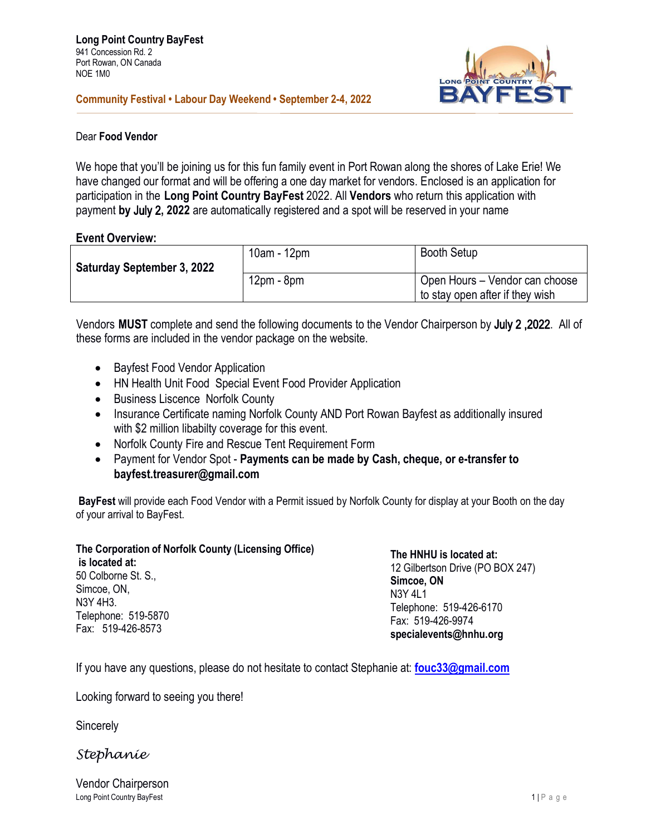

# **Community Festival • Labour Day Weekend • September 2-4, 2022**

### Dear **Food Vendor**

We hope that you'll be joining us for this fun family event in Port Rowan along the shores of Lake Erie! We have changed our format and will be offering a one day market for vendors. Enclosed is an application for participation in the **Long Point Country BayFest** 2022. All **Vendors** who return this application with payment **by** July 2**, 2022** are automatically registered and a spot will be reserved in your name

# **Event Overview:**

| <b>Saturday September 3, 2022</b> | 10am - 12pm  | <b>Booth Setup</b>                                                |
|-----------------------------------|--------------|-------------------------------------------------------------------|
|                                   | $12pm - 8pm$ | Open Hours - Vendor can choose<br>to stay open after if they wish |

Vendors **MUST** complete and send the following documents to the Vendor Chairperson by July 2 ,2022. All of these forms are included in the vendor package on the website.

- Bayfest Food Vendor Application
- HN Health Unit Food Special Event Food Provider Application
- Business Liscence Norfolk County
- Insurance Certificate naming Norfolk County AND Port Rowan Bayfest as additionally insured with \$2 million libabilty coverage for this event.
- Norfolk County Fire and Rescue Tent Requirement Form
- Payment for Vendor Spot **Payments can be made by Cash, cheque, or e-transfer to bayfest.treasurer@gmail.com**

**BayFest** will provide each Food Vendor with a Permit issued by Norfolk County for display at your Booth on the day of your arrival to BayFest.

# **The Corporation of Norfolk County (Licensing Office)**

**is located at:** 50 Colborne St. S., Simcoe, ON, N3Y 4H3. Telephone: 519-5870 Fax: 519-426-8573

**The HNHU is located at:** 12 Gilbertson Drive (PO BOX 247) **Simcoe, ON** N3Y 4L1 Telephone: 519-426-6170 Fax: 519-426-9974

**[specialevents@hnhu.org](mailto:specialevents@hnhu.org)**

If you have any questions, please do not hesitate to contact Stephanie at: **[fouc33@gmail.com](mailto:fouc33@gmail.com)**

Looking forward to seeing you there!

**Sincerely** 

*Stephanie*

Long Point Country BayFest 2 and 2 and 2 and 2 and 2 and 2 and 2 and 2 and 2 and 2 and 2 and 2 and 2 and 2 and 2 and 2 and 2 and 2 and 2 and 2 and 2 and 2 and 2 and 2 and 2 and 2 and 2 and 2 and 2 and 2 and 2 and 2 and 2 a Vendor Chairperson